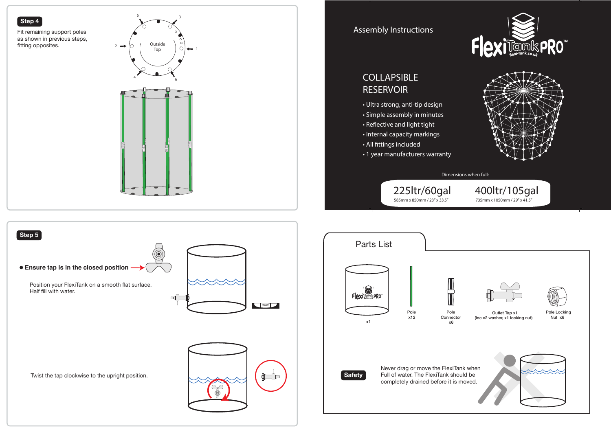









Dimensions when full: